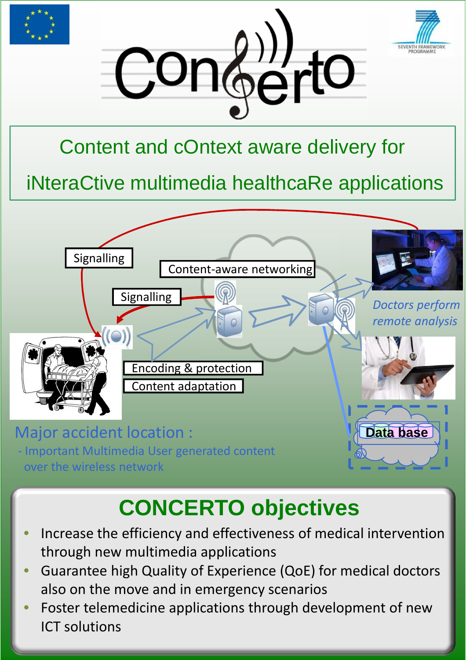



## Content and cOntext aware delivery for

# iNteraCtive multimedia healthcaRe applications



# **CONCERTO objectives**

- morease the efficiency and effectiveness of medical • Increase the efficiency and effectiveness of medical intervention through new multimedia applications
- intervention multimedia applications<br>Guarantoo bigb Quality of Experience (OoE) for mor • Guarantee high Quality of Experience (QoE) for medics, also • Guarantee high Quality of Experience (QoE) for medical doctors also on the move and in emergency scenarios
- anso on the move and in emergency scena • Foster telemedicine applications through development of  $\overline{\text{F}}$ new Solutions • Foster telemedicine applications through development of new ICT solutions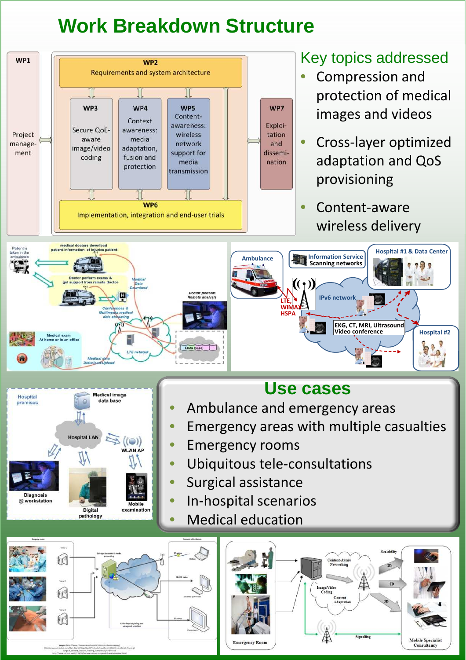### **Work Breakdown Structure**



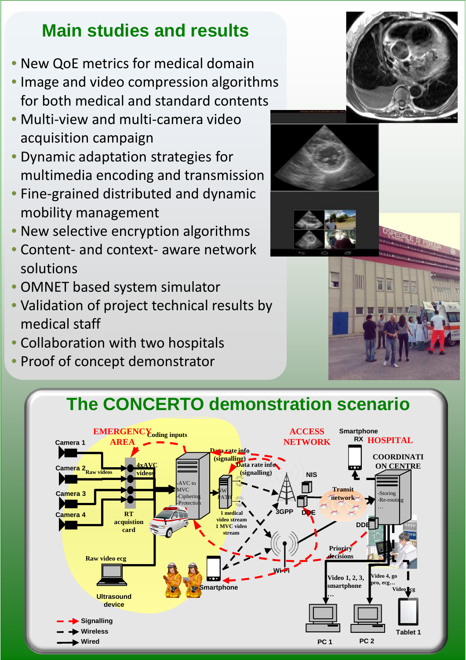#### **Main studies and results**

- New QoE metrics for medical domain
- Image and video compression algorithms for both medical and standard contents
- Multi-view and multi-camera video acquisition campaign
- Dynamic adaptation strategies for multimedia encoding and transmission
- Fine-grained distributed and dynamic mobility management
- New selective encryption algorithms
- Content- and context- aware network solutions
- OMNET based system simulator
- Validation of project technical results by medical staff
- Collaboration with two hospitals
- Proof of concept demonstrator